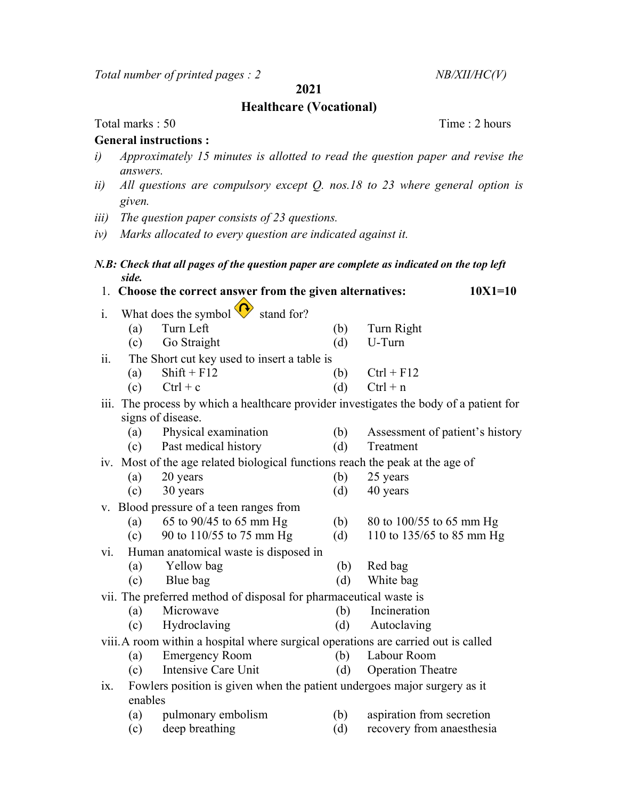Total number of printed pages :  $2$  NB/XII/HC(V)

2021

### Healthcare (Vocational)

Total marks : 50 Time : 2 hours

#### General instructions :

- i) Approximately 15 minutes is allotted to read the question paper and revise the answers.
- ii) All questions are compulsory except Q. nos.18 to 23 where general option is given.
- iii) The question paper consists of 23 questions.
- iv) Marks allocated to every question are indicated against it.

#### N.B: Check that all pages of the question paper are complete as indicated on the top left side.

| 1. Choose the correct answer from the given alternatives: | $10X1 = 10$                                     |                   |              |  |
|-----------------------------------------------------------|-------------------------------------------------|-------------------|--------------|--|
|                                                           | i. What does the symbol $\bigotimes$ stand for? |                   |              |  |
|                                                           | Turn Left<br>(a)                                | (b)               | Turn Right   |  |
|                                                           | Go Straight<br>(c)                              | (d)               | U-Turn       |  |
| ii.                                                       | The Short cut key used to insert a table is     |                   |              |  |
|                                                           | $Shift + F12$<br>(a)                            | (b)               | $Ctrl + F12$ |  |
|                                                           | $Ctrl + c$<br>(c)                               | $\lceil d \rceil$ | $Ctrl + n$   |  |

## iii. The process by which a healthcare provider investigates the body of a patient for signs of disease.

- (a) Physical examination (b) Assessment of patient's history (c) Past medical history (d) Treatment
- iv. Most of the age related biological functions reach the peak at the age of
	- (a) 20 years (b) 25 years
	- (c) 30 years (d) 40 years
- v. Blood pressure of a teen ranges from
	- (a) 65 to 90/45 to 65 mm Hg (b) 80 to 100/55 to 65 mm Hg
	- (c) 90 to 110/55 to 75 mm Hg (d) 110 to 135/65 to 85 mm Hg
- vi. Human anatomical waste is disposed in
	- (a) Yellow bag (b) Red bag
	- (c) Blue bag (d) White bag
- vii. The preferred method of disposal for pharmaceutical waste is
	- (a) Microwave (b) Incineration
	- (c) Hydroclaving (d) Autoclaving

# viii.A room within a hospital where surgical operations are carried out is called

- (a) Emergency Room (b) Labour Room
- (c) Intensive Care Unit (d) Operation Theatre
- ix. Fowlers position is given when the patient undergoes major surgery as it enables
	- (a) pulmonary embolism (b) aspiration from secretion
	- (c) deep breathing (d) recovery from anaesthesia